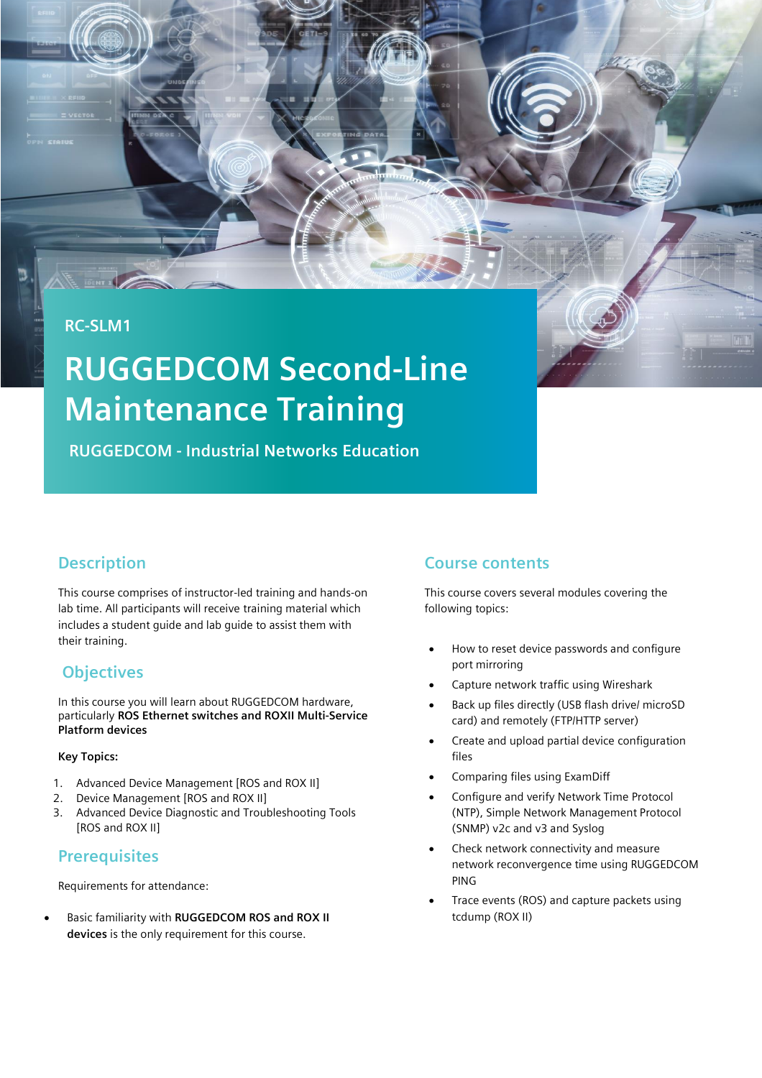#### **RC-SLM1**

# **RUGGEDCOM Second-Line Maintenance Training**

**RUGGEDCOM - Industrial Networks Education**

## **Description**

This course comprises of instructor-led training and hands-on lab time. All participants will receive training material which includes a student guide and lab guide to assist them with their training.

## **Objectives**

In this course you will learn about RUGGEDCOM hardware, particularly **ROS Ethernet switches and ROXII Multi-Service Platform devices**

#### **Key Topics:**

- 1. Advanced Device Management [ROS and ROX II]
- 2. Device Management [ROS and ROX II]
- 3. Advanced Device Diagnostic and Troubleshooting Tools [ROS and ROX II]

## **Prerequisites**

Requirements for attendance:

• Basic familiarity with **RUGGEDCOM ROS and ROX II devices** is the only requirement for this course.

## **Course contents**

This course covers several modules covering the following topics:

- How to reset device passwords and configure port mirroring
- Capture network traffic using Wireshark
- Back up files directly (USB flash drive/ microSD card) and remotely (FTP/HTTP server)
- Create and upload partial device configuration files
- Comparing files using ExamDiff
- Configure and verify Network Time Protocol (NTP), Simple Network Management Protocol (SNMP) v2c and v3 and Syslog
- Check network connectivity and measure network reconvergence time using RUGGEDCOM PING
- Trace events (ROS) and capture packets using tcdump (ROX II)